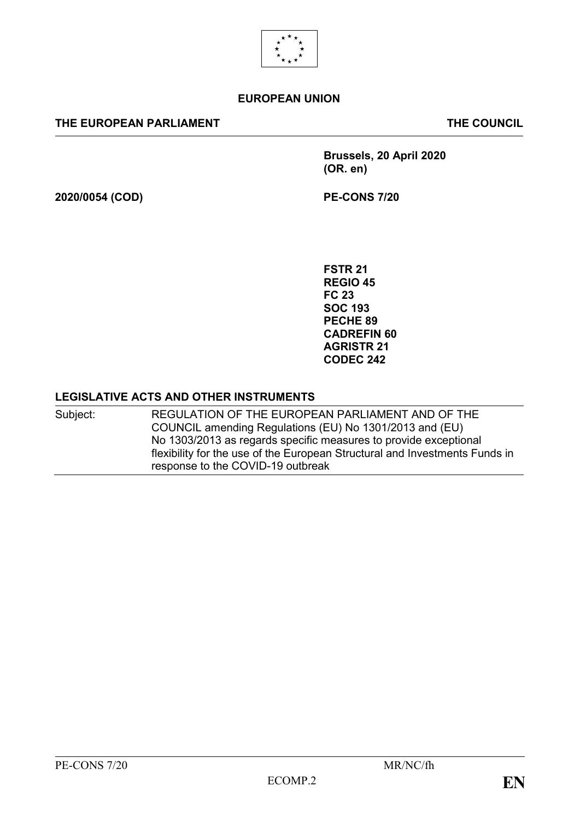

#### **EUROPEAN UNION**

#### **THE EUROPEAN PARLIAMENT THE COUNCIL**

**Brussels, 20 April 2020 (OR. en)**

**2020/0054 (COD) PE-CONS 7/20**

**FSTR 21 REGIO 45 FC 23 SOC 193 PECHE 89 CADREFIN 60 AGRISTR 21 CODEC 242**

#### **LEGISLATIVE ACTS AND OTHER INSTRUMENTS**

Subject: REGULATION OF THE EUROPEAN PARLIAMENT AND OF THE COUNCIL amending Regulations (EU) No 1301/2013 and (EU) No 1303/2013 as regards specific measures to provide exceptional flexibility for the use of the European Structural and Investments Funds in response to the COVID-19 outbreak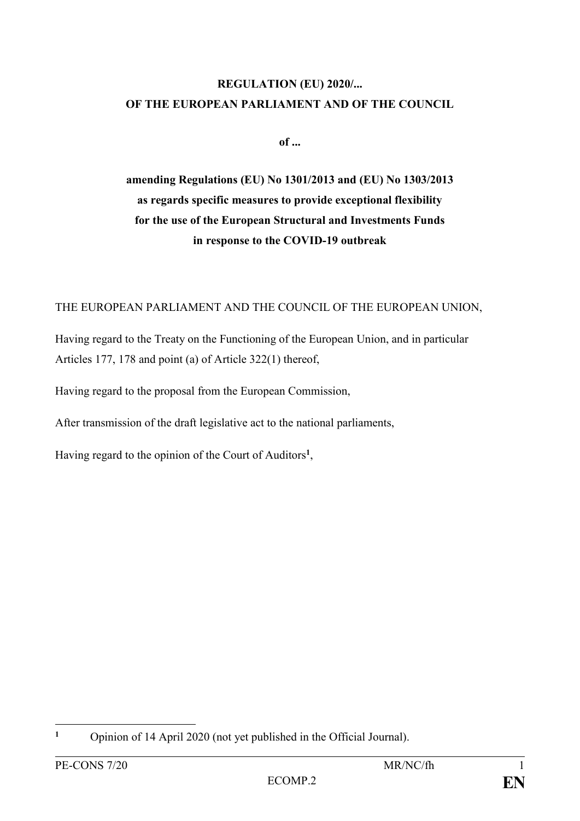# **REGULATION (EU) 2020/... OF THE EUROPEAN PARLIAMENT AND OF THE COUNCIL**

**of ...**

**amending Regulations (EU) No 1301/2013 and (EU) No 1303/2013 as regards specific measures to provide exceptional flexibility for the use of the European Structural and Investments Funds in response to the COVID-19 outbreak**

#### THE EUROPEAN PARLIAMENT AND THE COUNCIL OF THE EUROPEAN UNION,

Having regard to the Treaty on the Functioning of the European Union, and in particular Articles 177, 178 and point (a) of Article 322(1) thereof,

Having regard to the proposal from the European Commission,

After transmission of the draft legislative act to the national parliaments,

Having regard to the opinion of the Court of Auditors**<sup>1</sup>** ,

<sup>1</sup> **<sup>1</sup>** Opinion of 14 April 2020 (not yet published in the Official Journal).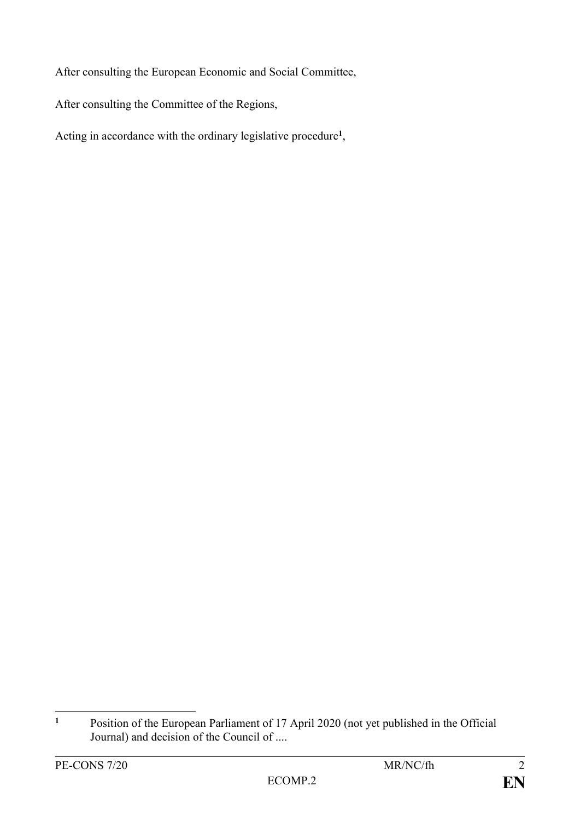After consulting the European Economic and Social Committee,

After consulting the Committee of the Regions,

Acting in accordance with the ordinary legislative procedure**<sup>1</sup>** ,

 $\mathbf{1}$ **<sup>1</sup>** Position of the European Parliament of 17 April 2020 (not yet published in the Official Journal) and decision of the Council of ....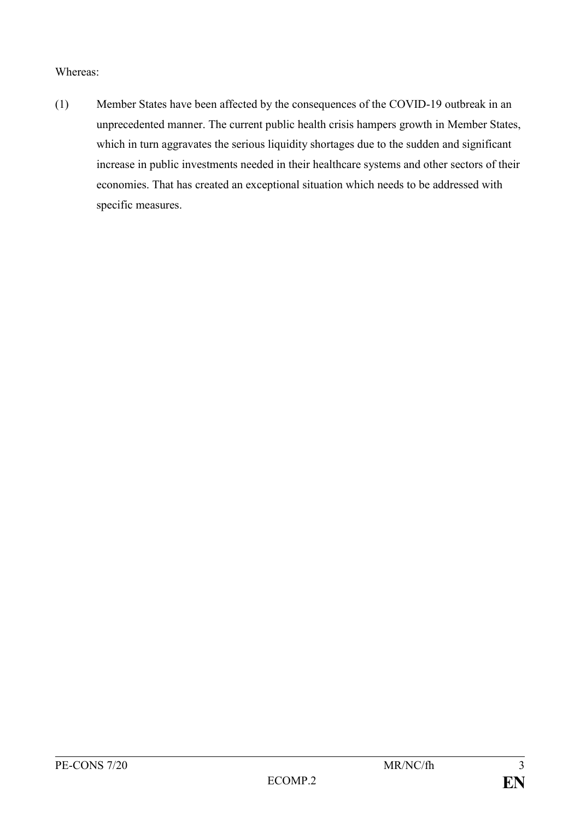#### Whereas:

(1) Member States have been affected by the consequences of the COVID-19 outbreak in an unprecedented manner. The current public health crisis hampers growth in Member States, which in turn aggravates the serious liquidity shortages due to the sudden and significant increase in public investments needed in their healthcare systems and other sectors of their economies. That has created an exceptional situation which needs to be addressed with specific measures.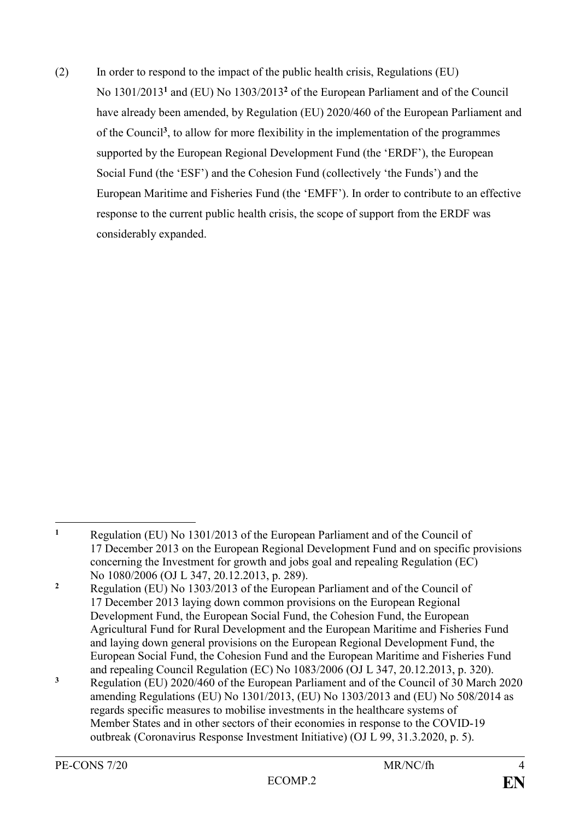(2) In order to respond to the impact of the public health crisis, Regulations (EU) No 1301/2013**<sup>1</sup>** and (EU) No 1303/2013**<sup>2</sup>** of the European Parliament and of the Council have already been amended, by Regulation (EU) 2020/460 of the European Parliament and of the Council**<sup>3</sup>** , to allow for more flexibility in the implementation of the programmes supported by the European Regional Development Fund (the 'ERDF'), the European Social Fund (the 'ESF') and the Cohesion Fund (collectively 'the Funds') and the European Maritime and Fisheries Fund (the 'EMFF'). In order to contribute to an effective response to the current public health crisis, the scope of support from the ERDF was considerably expanded.

 $\mathbf{1}$ 

**<sup>1</sup>** Regulation (EU) No 1301/2013 of the European Parliament and of the Council of 17 December 2013 on the European Regional Development Fund and on specific provisions concerning the Investment for growth and jobs goal and repealing Regulation (EC) No 1080/2006 (OJ L 347, 20.12.2013, p. 289). **<sup>2</sup>** Regulation (EU) No 1303/2013 of the European Parliament and of the Council of 17 December 2013 laying down common provisions on the European Regional Development Fund, the European Social Fund, the Cohesion Fund, the European Agricultural Fund for Rural Development and the European Maritime and Fisheries Fund and laying down general provisions on the European Regional Development Fund, the European Social Fund, the Cohesion Fund and the European Maritime and Fisheries Fund

and repealing Council Regulation (EC) No 1083/2006 (OJ L 347, 20.12.2013, p. 320). **<sup>3</sup>** Regulation (EU) 2020/460 of the European Parliament and of the Council of 30 March 2020 amending Regulations (EU) No 1301/2013, (EU) No 1303/2013 and (EU) No 508/2014 as regards specific measures to mobilise investments in the healthcare systems of Member States and in other sectors of their economies in response to the COVID-19 outbreak (Coronavirus Response Investment Initiative) (OJ L 99, 31.3.2020, p. 5).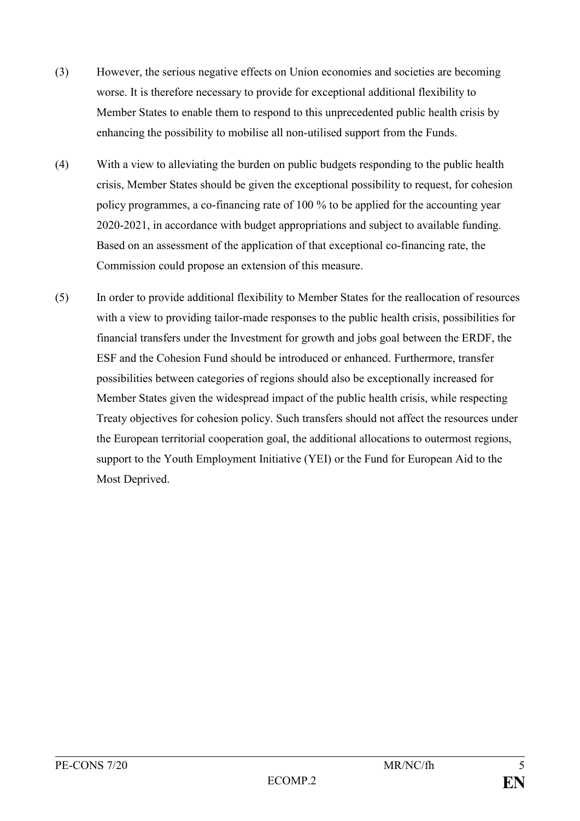- (3) However, the serious negative effects on Union economies and societies are becoming worse. It is therefore necessary to provide for exceptional additional flexibility to Member States to enable them to respond to this unprecedented public health crisis by enhancing the possibility to mobilise all non-utilised support from the Funds.
- (4) With a view to alleviating the burden on public budgets responding to the public health crisis, Member States should be given the exceptional possibility to request, for cohesion policy programmes, a co-financing rate of 100 % to be applied for the accounting year 2020-2021, in accordance with budget appropriations and subject to available funding. Based on an assessment of the application of that exceptional co-financing rate, the Commission could propose an extension of this measure.
- (5) In order to provide additional flexibility to Member States for the reallocation of resources with a view to providing tailor-made responses to the public health crisis, possibilities for financial transfers under the Investment for growth and jobs goal between the ERDF, the ESF and the Cohesion Fund should be introduced or enhanced. Furthermore, transfer possibilities between categories of regions should also be exceptionally increased for Member States given the widespread impact of the public health crisis, while respecting Treaty objectives for cohesion policy. Such transfers should not affect the resources under the European territorial cooperation goal, the additional allocations to outermost regions, support to the Youth Employment Initiative (YEI) or the Fund for European Aid to the Most Deprived.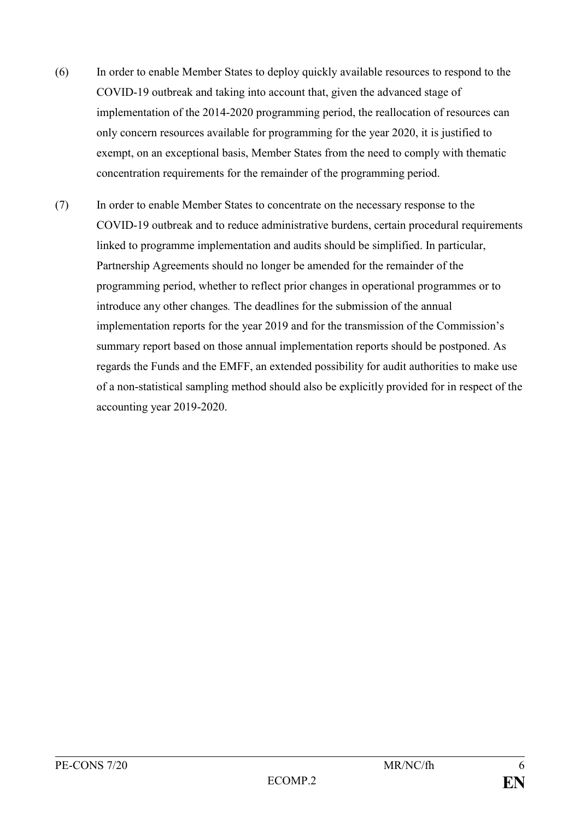- (6) In order to enable Member States to deploy quickly available resources to respond to the COVID-19 outbreak and taking into account that, given the advanced stage of implementation of the 2014-2020 programming period, the reallocation of resources can only concern resources available for programming for the year 2020, it is justified to exempt, on an exceptional basis, Member States from the need to comply with thematic concentration requirements for the remainder of the programming period.
- (7) In order to enable Member States to concentrate on the necessary response to the COVID-19 outbreak and to reduce administrative burdens, certain procedural requirements linked to programme implementation and audits should be simplified. In particular, Partnership Agreements should no longer be amended for the remainder of the programming period, whether to reflect prior changes in operational programmes or to introduce any other changes*.* The deadlines for the submission of the annual implementation reports for the year 2019 and for the transmission of the Commission's summary report based on those annual implementation reports should be postponed. As regards the Funds and the EMFF, an extended possibility for audit authorities to make use of a non-statistical sampling method should also be explicitly provided for in respect of the accounting year 2019-2020.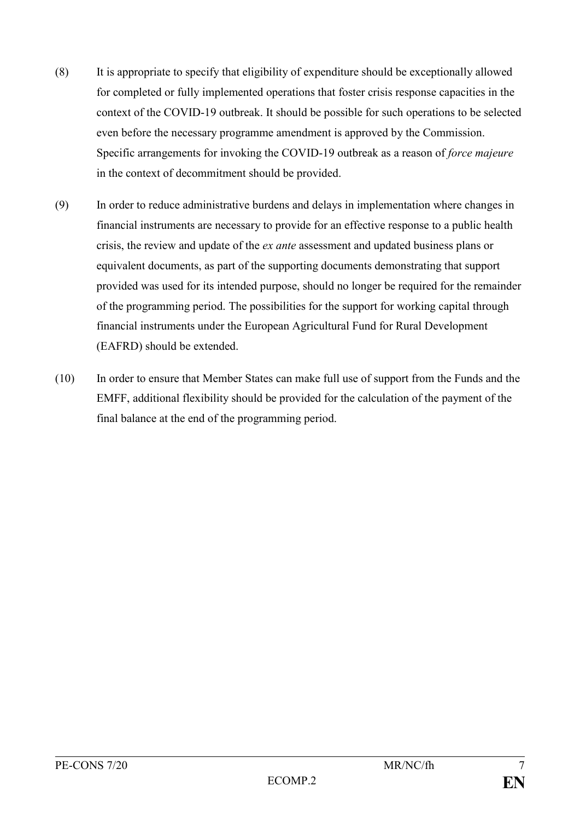- (8) It is appropriate to specify that eligibility of expenditure should be exceptionally allowed for completed or fully implemented operations that foster crisis response capacities in the context of the COVID-19 outbreak. It should be possible for such operations to be selected even before the necessary programme amendment is approved by the Commission. Specific arrangements for invoking the COVID-19 outbreak as a reason of *force majeure* in the context of decommitment should be provided.
- (9) In order to reduce administrative burdens and delays in implementation where changes in financial instruments are necessary to provide for an effective response to a public health crisis, the review and update of the *ex ante* assessment and updated business plans or equivalent documents, as part of the supporting documents demonstrating that support provided was used for its intended purpose, should no longer be required for the remainder of the programming period. The possibilities for the support for working capital through financial instruments under the European Agricultural Fund for Rural Development (EAFRD) should be extended.
- (10) In order to ensure that Member States can make full use of support from the Funds and the EMFF, additional flexibility should be provided for the calculation of the payment of the final balance at the end of the programming period.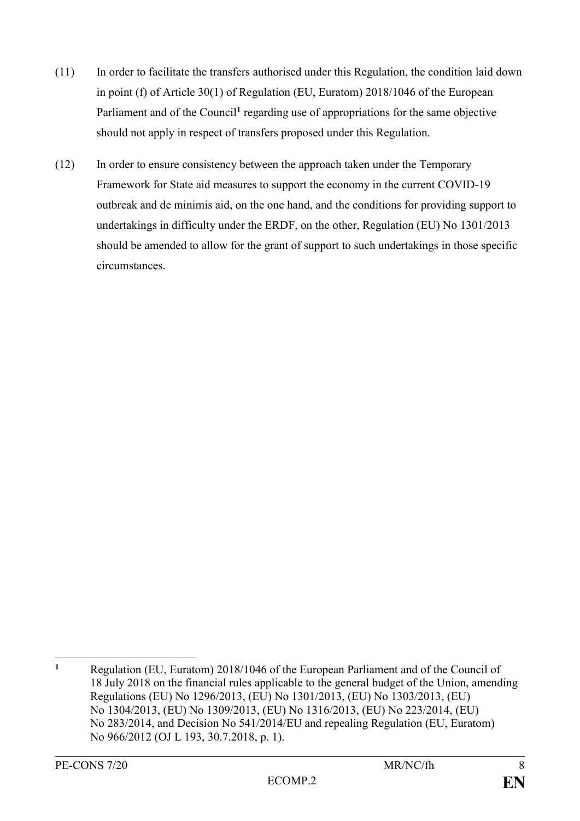- (11) In order to facilitate the transfers authorised under this Regulation, the condition laid down in point (f) of Article 30(1) of Regulation (EU, Euratom) 2018/1046 of the European Parliament and of the Council<sup>1</sup> regarding use of appropriations for the same objective should not apply in respect of transfers proposed under this Regulation.
- (12) In order to ensure consistency between the approach taken under the Temporary Framework for State aid measures to support the economy in the current COVID-19 outbreak and de minimis aid, on the one hand, and the conditions for providing support to undertakings in difficulty under the ERDF, on the other, Regulation (EU) No 1301/2013 should be amended to allow for the grant of support to such undertakings in those specific circumstances.

 $\mathbf{1}$ **<sup>1</sup>** Regulation (EU, Euratom) 2018/1046 of the European Parliament and of the Council of 18 July 2018 on the financial rules applicable to the general budget of the Union, amending Regulations (EU) No 1296/2013, (EU) No 1301/2013, (EU) No 1303/2013, (EU) No 1304/2013, (EU) No 1309/2013, (EU) No 1316/2013, (EU) No 223/2014, (EU) No 283/2014, and Decision No 541/2014/EU and repealing Regulation (EU, Euratom) No 966/2012 (OJ L 193, 30.7.2018, p. 1).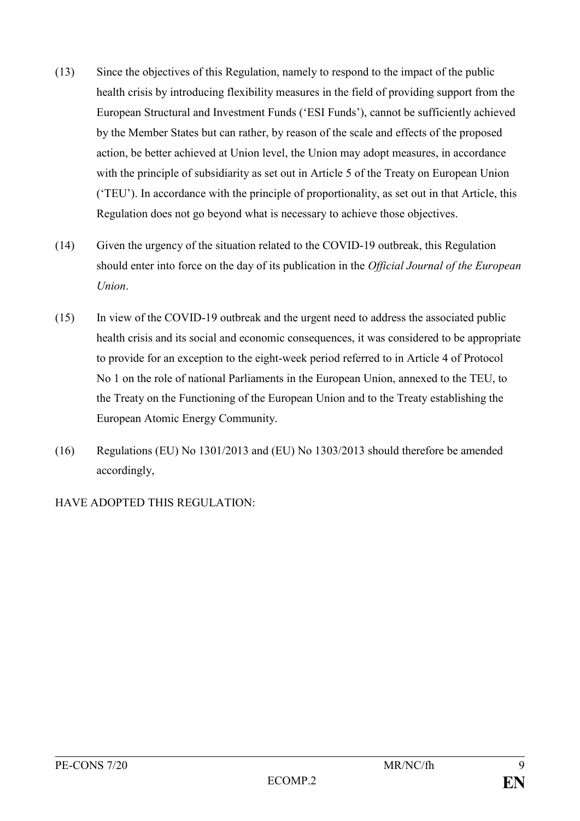- (13) Since the objectives of this Regulation, namely to respond to the impact of the public health crisis by introducing flexibility measures in the field of providing support from the European Structural and Investment Funds ('ESI Funds'), cannot be sufficiently achieved by the Member States but can rather, by reason of the scale and effects of the proposed action, be better achieved at Union level, the Union may adopt measures, in accordance with the principle of subsidiarity as set out in Article 5 of the Treaty on European Union ('TEU'). In accordance with the principle of proportionality, as set out in that Article, this Regulation does not go beyond what is necessary to achieve those objectives.
- (14) Given the urgency of the situation related to the COVID-19 outbreak, this Regulation should enter into force on the day of its publication in the *Official Journal of the European Union*.
- (15) In view of the COVID-19 outbreak and the urgent need to address the associated public health crisis and its social and economic consequences, it was considered to be appropriate to provide for an exception to the eight-week period referred to in Article 4 of Protocol No 1 on the role of national Parliaments in the European Union, annexed to the TEU, to the Treaty on the Functioning of the European Union and to the Treaty establishing the European Atomic Energy Community.
- (16) Regulations (EU) No 1301/2013 and (EU) No 1303/2013 should therefore be amended accordingly,

HAVE ADOPTED THIS REGULATION: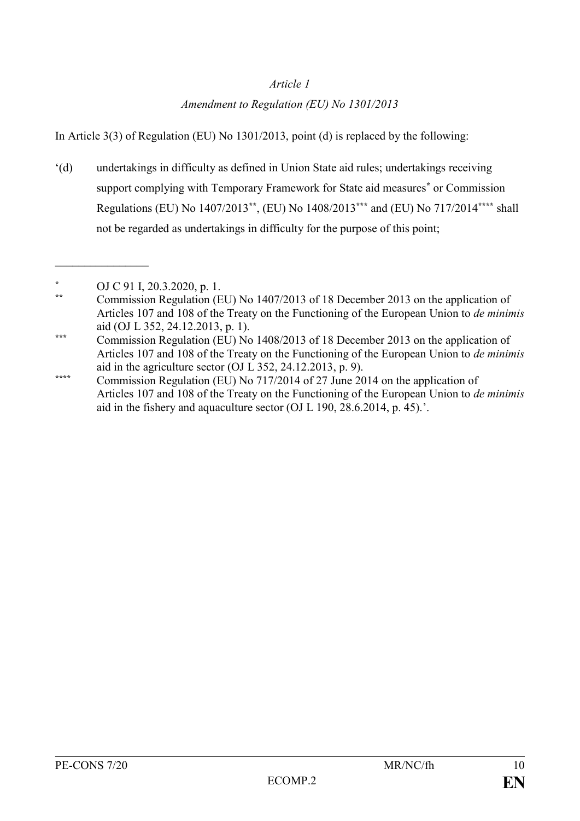## *Article 1*

## *Amendment to Regulation (EU) No 1301/2013*

In Article 3(3) of Regulation (EU) No 1301/2013, point (d) is replaced by the following:

'(d) undertakings in difficulty as defined in Union State aid rules; undertakings receiving support complying with Temporary Framework for State aid measures**\*** or Commission Regulations (EU) No 1407/2013**\*\***, (EU) No 1408/2013**\*\*\*** and (EU) No 717/2014**\*\*\*\*** shall not be regarded as undertakings in difficulty for the purpose of this point;

 $\frac{1}{2}$ 

**<sup>\*</sup>** OJ C 91 I, 20.3.2020, p. 1.

**<sup>\*\*</sup>** Commission Regulation (EU) No 1407/2013 of 18 December 2013 on the application of Articles 107 and 108 of the Treaty on the Functioning of the European Union to *de minimis* aid (OJ L 352, 24.12.2013, p. 1).

**<sup>\*\*\*</sup>** Commission Regulation (EU) No 1408/2013 of 18 December 2013 on the application of Articles 107 and 108 of the Treaty on the Functioning of the European Union to *de minimis* aid in the agriculture sector (OJ L 352, 24.12.2013, p. 9).

**<sup>\*\*\*\*</sup>** Commission Regulation (EU) No 717/2014 of 27 June 2014 on the application of Articles 107 and 108 of the Treaty on the Functioning of the European Union to *de minimis* aid in the fishery and aquaculture sector (OJ L 190, 28.6.2014, p. 45).'.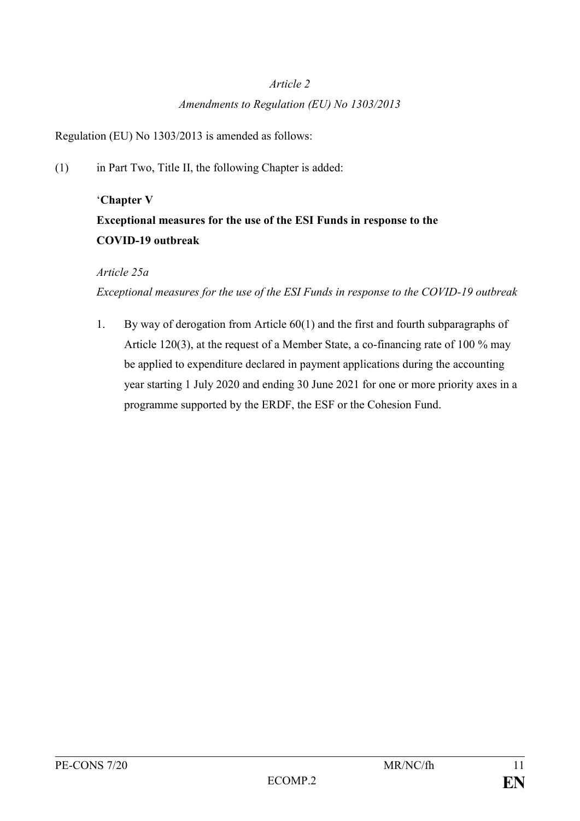#### *Article 2*

#### *Amendments to Regulation (EU) No 1303/2013*

Regulation (EU) No 1303/2013 is amended as follows:

(1) in Part Two, Title II, the following Chapter is added:

# '**Chapter V Exceptional measures for the use of the ESI Funds in response to the COVID-19 outbreak**

## *Article 25a*

*Exceptional measures for the use of the ESI Funds in response to the COVID-19 outbreak*

1. By way of derogation from Article 60(1) and the first and fourth subparagraphs of Article 120(3), at the request of a Member State, a co-financing rate of 100 % may be applied to expenditure declared in payment applications during the accounting year starting 1 July 2020 and ending 30 June 2021 for one or more priority axes in a programme supported by the ERDF, the ESF or the Cohesion Fund.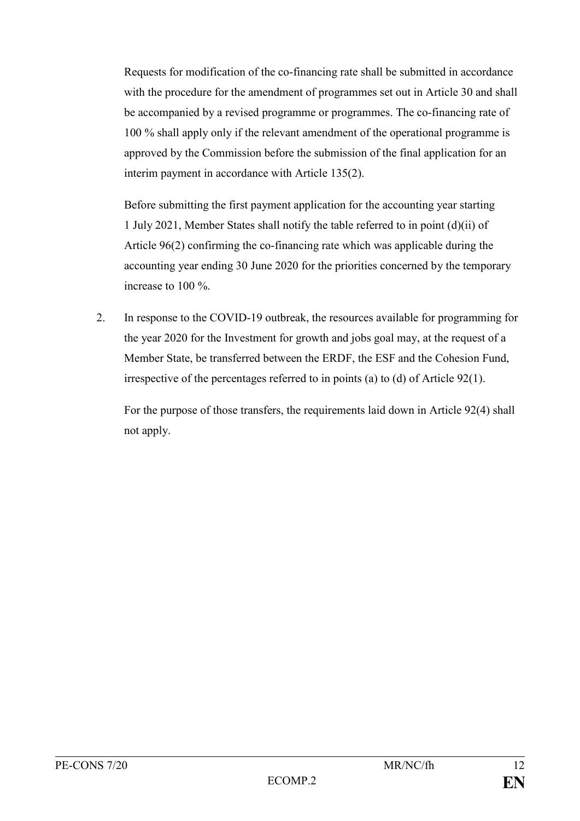Requests for modification of the co-financing rate shall be submitted in accordance with the procedure for the amendment of programmes set out in Article 30 and shall be accompanied by a revised programme or programmes. The co-financing rate of 100 % shall apply only if the relevant amendment of the operational programme is approved by the Commission before the submission of the final application for an interim payment in accordance with Article 135(2).

Before submitting the first payment application for the accounting year starting 1 July 2021, Member States shall notify the table referred to in point (d)(ii) of Article 96(2) confirming the co-financing rate which was applicable during the accounting year ending 30 June 2020 for the priorities concerned by the temporary increase to 100 %.

2. In response to the COVID-19 outbreak, the resources available for programming for the year 2020 for the Investment for growth and jobs goal may, at the request of a Member State, be transferred between the ERDF, the ESF and the Cohesion Fund, irrespective of the percentages referred to in points (a) to (d) of Article 92(1).

For the purpose of those transfers, the requirements laid down in Article 92(4) shall not apply.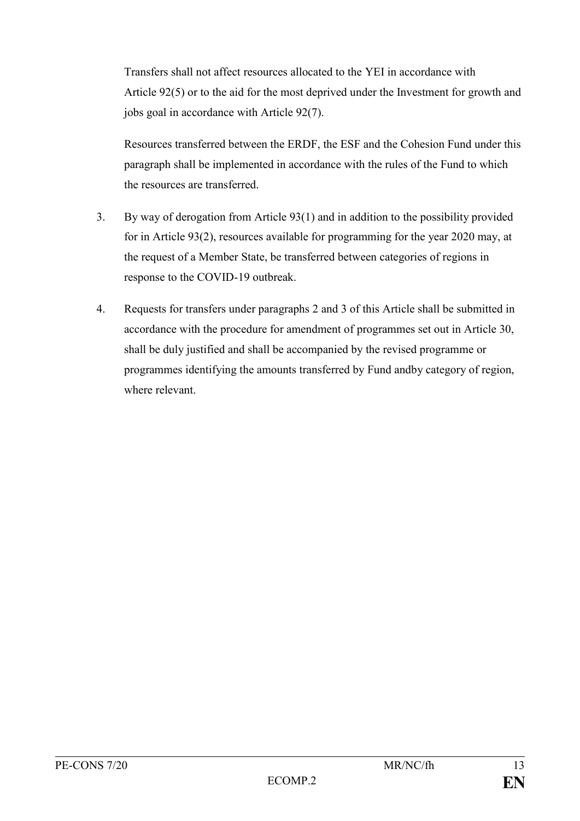Transfers shall not affect resources allocated to the YEI in accordance with Article 92(5) or to the aid for the most deprived under the Investment for growth and jobs goal in accordance with Article 92(7).

Resources transferred between the ERDF, the ESF and the Cohesion Fund under this paragraph shall be implemented in accordance with the rules of the Fund to which the resources are transferred.

- 3. By way of derogation from Article 93(1) and in addition to the possibility provided for in Article 93(2), resources available for programming for the year 2020 may, at the request of a Member State, be transferred between categories of regions in response to the COVID-19 outbreak.
- 4. Requests for transfers under paragraphs 2 and 3 of this Article shall be submitted in accordance with the procedure for amendment of programmes set out in Article 30, shall be duly justified and shall be accompanied by the revised programme or programmes identifying the amounts transferred by Fund andby category of region, where relevant.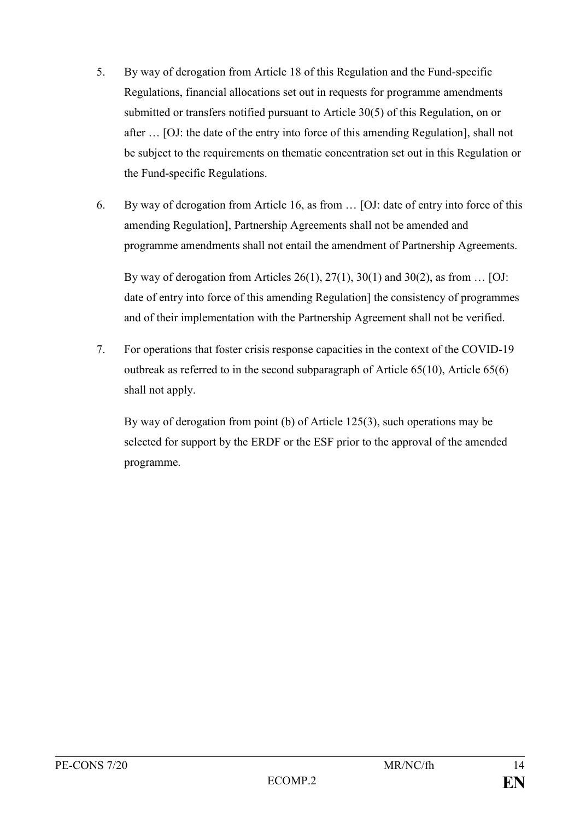- 5. By way of derogation from Article 18 of this Regulation and the Fund-specific Regulations, financial allocations set out in requests for programme amendments submitted or transfers notified pursuant to Article 30(5) of this Regulation, on or after … [OJ: the date of the entry into force of this amending Regulation], shall not be subject to the requirements on thematic concentration set out in this Regulation or the Fund-specific Regulations.
- 6. By way of derogation from Article 16, as from … [OJ: date of entry into force of this amending Regulation], Partnership Agreements shall not be amended and programme amendments shall not entail the amendment of Partnership Agreements.

By way of derogation from Articles 26(1), 27(1), 30(1) and 30(2), as from  $\dots$  [OJ: date of entry into force of this amending Regulation] the consistency of programmes and of their implementation with the Partnership Agreement shall not be verified.

7. For operations that foster crisis response capacities in the context of the COVID-19 outbreak as referred to in the second subparagraph of Article 65(10), Article 65(6) shall not apply.

By way of derogation from point (b) of Article 125(3), such operations may be selected for support by the ERDF or the ESF prior to the approval of the amended programme.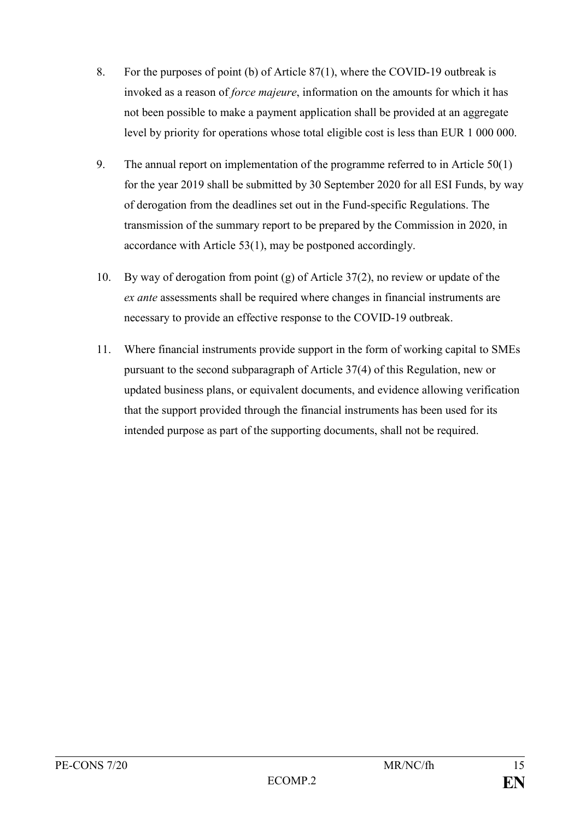- 8. For the purposes of point (b) of Article 87(1), where the COVID-19 outbreak is invoked as a reason of *force majeure*, information on the amounts for which it has not been possible to make a payment application shall be provided at an aggregate level by priority for operations whose total eligible cost is less than EUR 1 000 000.
- 9. The annual report on implementation of the programme referred to in Article 50(1) for the year 2019 shall be submitted by 30 September 2020 for all ESI Funds, by way of derogation from the deadlines set out in the Fund-specific Regulations. The transmission of the summary report to be prepared by the Commission in 2020, in accordance with Article 53(1), may be postponed accordingly.
- 10. By way of derogation from point (g) of Article 37(2), no review or update of the *ex ante* assessments shall be required where changes in financial instruments are necessary to provide an effective response to the COVID-19 outbreak.
- 11. Where financial instruments provide support in the form of working capital to SMEs pursuant to the second subparagraph of Article 37(4) of this Regulation, new or updated business plans, or equivalent documents, and evidence allowing verification that the support provided through the financial instruments has been used for its intended purpose as part of the supporting documents, shall not be required.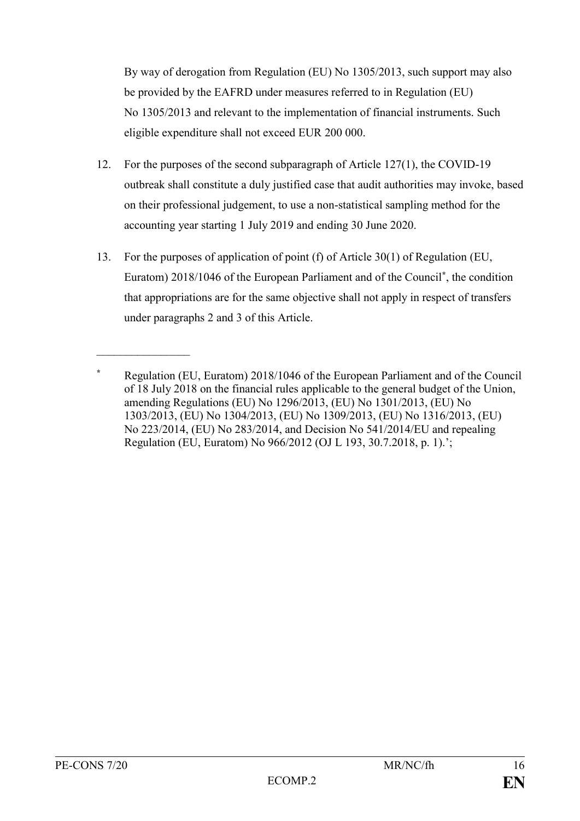By way of derogation from Regulation (EU) No 1305/2013, such support may also be provided by the EAFRD under measures referred to in Regulation (EU) No 1305/2013 and relevant to the implementation of financial instruments. Such eligible expenditure shall not exceed EUR 200 000.

- 12. For the purposes of the second subparagraph of Article 127(1), the COVID-19 outbreak shall constitute a duly justified case that audit authorities may invoke, based on their professional judgement, to use a non-statistical sampling method for the accounting year starting 1 July 2019 and ending 30 June 2020.
- 13. For the purposes of application of point (f) of Article 30(1) of Regulation (EU, Euratom) 2018/1046 of the European Parliament and of the Council**\*** , the condition that appropriations are for the same objective shall not apply in respect of transfers under paragraphs 2 and 3 of this Article.

 $\frac{1}{2}$ 

**<sup>\*</sup>** Regulation (EU, Euratom) 2018/1046 of the European Parliament and of the Council of 18 July 2018 on the financial rules applicable to the general budget of the Union, amending Regulations (EU) No 1296/2013, (EU) No 1301/2013, (EU) No 1303/2013, (EU) No 1304/2013, (EU) No 1309/2013, (EU) No 1316/2013, (EU) No 223/2014, (EU) No 283/2014, and Decision No 541/2014/EU and repealing Regulation (EU, Euratom) No 966/2012 (OJ L 193, 30.7.2018, p. 1).';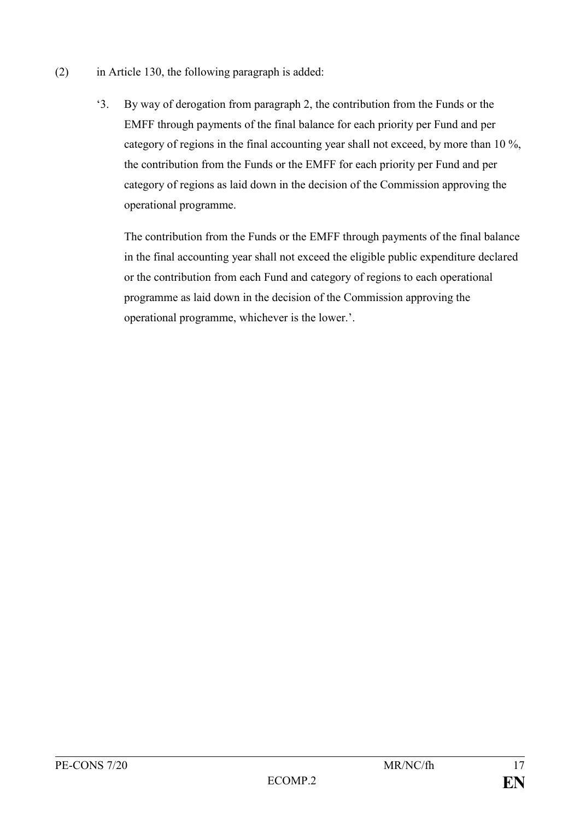- (2) in Article 130, the following paragraph is added:
	- '3. By way of derogation from paragraph 2, the contribution from the Funds or the EMFF through payments of the final balance for each priority per Fund and per category of regions in the final accounting year shall not exceed, by more than 10 %, the contribution from the Funds or the EMFF for each priority per Fund and per category of regions as laid down in the decision of the Commission approving the operational programme.

The contribution from the Funds or the EMFF through payments of the final balance in the final accounting year shall not exceed the eligible public expenditure declared or the contribution from each Fund and category of regions to each operational programme as laid down in the decision of the Commission approving the operational programme, whichever is the lower.'.